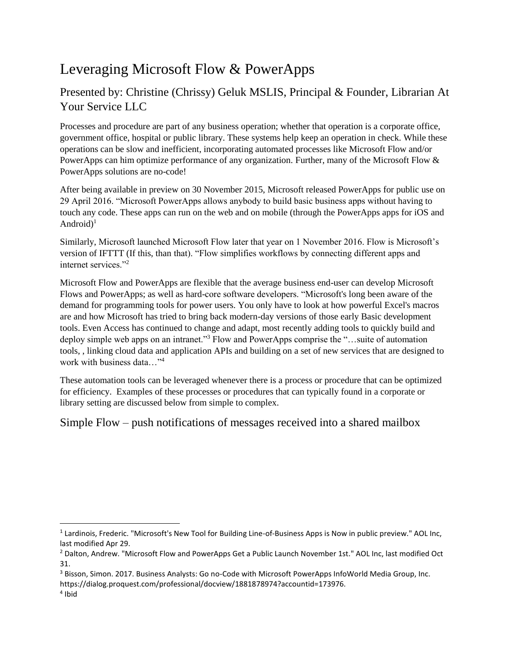# Leveraging Microsoft Flow & PowerApps

## Presented by: Christine (Chrissy) Geluk MSLIS, Principal & Founder, Librarian At Your Service LLC

Processes and procedure are part of any business operation; whether that operation is a corporate office, government office, hospital or public library. These systems help keep an operation in check. While these operations can be slow and inefficient, incorporating automated processes like Microsoft Flow and/or PowerApps can him optimize performance of any organization. Further, many of the Microsoft Flow & PowerApps solutions are no-code!

After being available in preview on 30 November 2015, Microsoft released PowerApps for public use on 29 April 2016. "Microsoft PowerApps allows anybody to build basic business apps without having to touch any code. These apps can run on the web and on mobile (through the PowerApps apps for iOS and Android $)^1$ 

Similarly, Microsoft launched Microsoft Flow later that year on 1 November 2016. Flow is Microsoft's version of IFTTT (If this, than that). "Flow simplifies workflows by connecting different apps and internet services."<sup>2</sup>

Microsoft Flow and PowerApps are flexible that the average business end-user can develop Microsoft Flows and PowerApps; as well as hard-core software developers. "Microsoft's long been aware of the demand for programming tools for power users. You only have to look at how powerful Excel's macros are and how Microsoft has tried to bring back modern-day versions of those early Basic development tools. Even Access has continued to change and adapt, most recently adding tools to quickly build and deploy simple web apps on an intranet."<sup>3</sup> Flow and PowerApps comprise the "...suite of automation tools, , linking cloud data and application APIs and building on a set of new services that are designed to work with business data…"<sup>4</sup>

These automation tools can be leveraged whenever there is a process or procedure that can be optimized for efficiency. Examples of these processes or procedures that can typically found in a corporate or library setting are discussed below from simple to complex.

Simple Flow – push notifications of messages received into a shared mailbox

 $\overline{\phantom{a}}$ 

<sup>&</sup>lt;sup>1</sup> Lardinois, Frederic. "Microsoft's New Tool for Building Line-of-Business Apps is Now in public preview." AOL Inc, last modified Apr 29.

<sup>2</sup> Dalton, Andrew. "Microsoft Flow and PowerApps Get a Public Launch November 1st." AOL Inc, last modified Oct 31.

<sup>3</sup> Bisson, Simon. 2017. Business Analysts: Go no-Code with Microsoft PowerApps InfoWorld Media Group, Inc. https://dialog.proquest.com/professional/docview/1881878974?accountid=173976.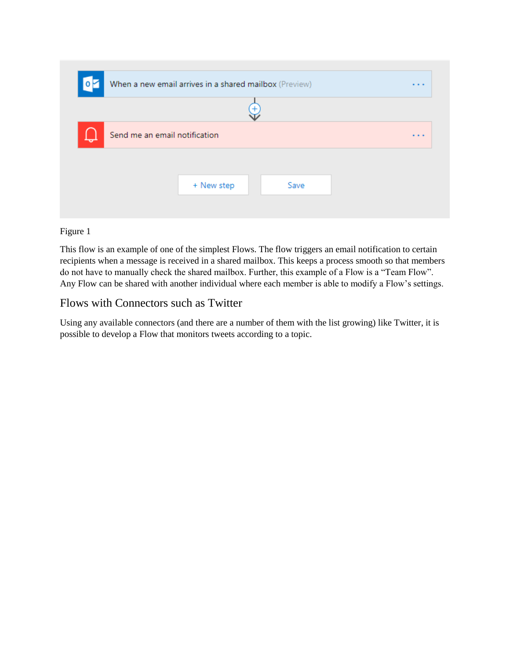|                               | When a new email arrives in a shared mailbox (Preview) | $\cdots$ |
|-------------------------------|--------------------------------------------------------|----------|
|                               |                                                        |          |
| Send me an email notification |                                                        | $\cdots$ |
|                               |                                                        |          |
|                               | + New step<br>Save                                     |          |
|                               |                                                        |          |

This flow is an example of one of the simplest Flows. The flow triggers an email notification to certain recipients when a message is received in a shared mailbox. This keeps a process smooth so that members do not have to manually check the shared mailbox. Further, this example of a Flow is a "Team Flow". Any Flow can be shared with another individual where each member is able to modify a Flow's settings.

## Flows with Connectors such as Twitter

Using any available connectors (and there are a number of them with the list growing) like Twitter, it is possible to develop a Flow that monitors tweets according to a topic.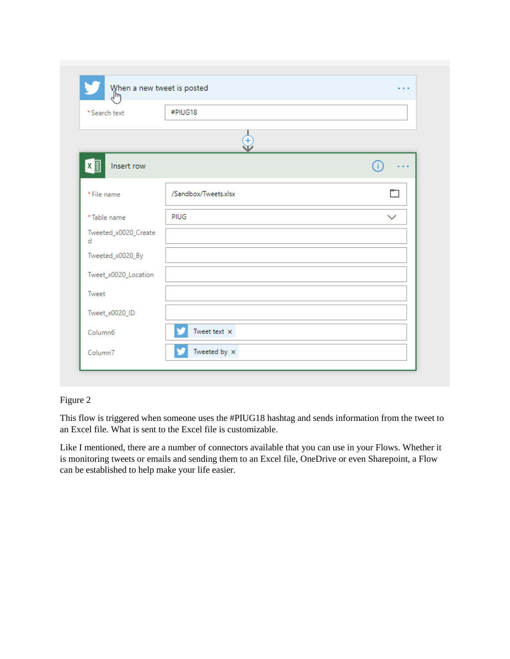| * Search text             | When a new tweet is posted<br>$\int_{m}^{m}$<br>#PIUG18 |              |
|---------------------------|---------------------------------------------------------|--------------|
|                           |                                                         |              |
|                           | $\ddot{}$                                               |              |
| ∣x 割<br>Insert row        |                                                         | . .          |
| * File name               | /Sandbox/Tweets.xlsx                                    | ħ            |
| *Table name               | PIUG                                                    | $\checkmark$ |
| Tweeted_x0020_Create<br>d |                                                         |              |
| Tweeted_x0020_By          |                                                         |              |
| Tweet_x0020_Location      |                                                         |              |
| Tweet                     |                                                         |              |
| Tweet_x0020_ID            |                                                         |              |
| Column <sub>6</sub>       | Tweet text $\times$                                     |              |
| Column7                   | Tweeted by $\,\times\,$                                 |              |

This flow is triggered when someone uses the #PIUG18 hashtag and sends information from the tweet to an Excel file. What is sent to the Excel file is customizable.

Like I mentioned, there are a number of connectors available that you can use in your Flows. Whether it is monitoring tweets or emails and sending them to an Excel file, OneDrive or even Sharepoint, a Flow can be established to help make your life easier.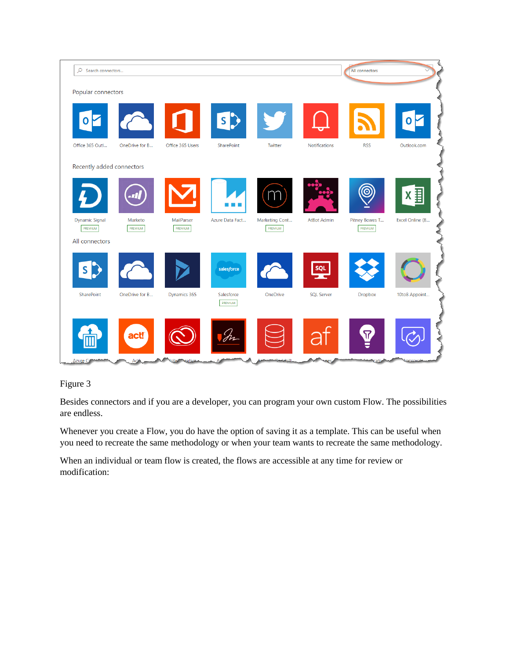

Besides connectors and if you are a developer, you can program your own custom Flow. The possibilities are endless.

Whenever you create a Flow, you do have the option of saving it as a template. This can be useful when you need to recreate the same methodology or when your team wants to recreate the same methodology.

When an individual or team flow is created, the flows are accessible at any time for review or modification: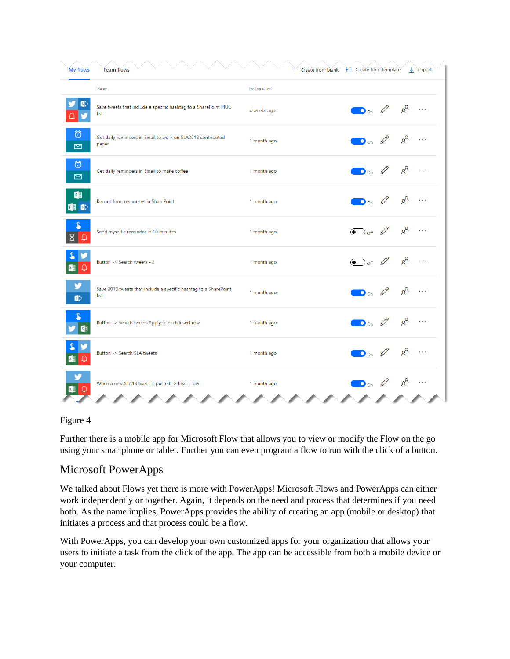| <b>My flows</b>       | <b>Team flows</b>                                                        | $+$ Create from blank | <b>H1</b> Create from template<br>$\downarrow$ import |  |
|-----------------------|--------------------------------------------------------------------------|-----------------------|-------------------------------------------------------|--|
|                       | Name                                                                     | Last modified         |                                                       |  |
|                       | Save tweets that include a specific hashtag to a SharePoint PIUG<br>list | 4 weeks ago           | $R^8$<br>$\bigcirc$ on $\varnothing$<br>$\sim$        |  |
| Ö<br>$\triangleright$ | Get daily reminders in Email to work on SLA2018 contributed<br>paper     | 1 month ago           | $R^8$<br>$\Box$ on $\varnothing$                      |  |
| Ö<br>$\Box$           | Get daily reminders in Email to make coffee                              | 1 month ago           | $R^8$<br>$\bullet$ on $\mathscr{D}$                   |  |
| F<br>$F \circ F$      | Record form responses in SharePoint                                      | 1 month ago           | $R^8$<br>$\bullet$ on $\mathscr{A}$                   |  |
| $\overline{R}$        | Send myself a reminder in 10 minutes                                     | 1 month ago           | $R^8$<br>$\bigodot$ off $\varnothing$                 |  |
|                       | Button -> Search tweets - 2                                              | 1 month ago           | $R^8$<br>$\odot$ of $\oslash$                         |  |
| v<br>$\mathbf{B}$     | Save 2018 tweets that include a specific hashtag to a SharePoint<br>list | 1 month ago           | $R^8$<br>.<br>$\bigcirc$ on $\varnothing$             |  |
|                       | Button -> Search tweets, Apply to each, Insert row                       | 1 month ago           | $R^8$<br>$\bigcirc$ on $\varnothing$<br>$\ddotsc$     |  |
|                       | Button -> Search SLA tweets                                              | 1 month ago           | $R^8$<br>$\bigcirc$ on $\varnothing$                  |  |
|                       | When a new SLA18 tweet is posted -> Insert row                           | 1 month ago           | $\bullet$ on $\emptyset$ $\upbeta$                    |  |
|                       |                                                                          |                       |                                                       |  |

Further there is a mobile app for Microsoft Flow that allows you to view or modify the Flow on the go using your smartphone or tablet. Further you can even program a flow to run with the click of a button.

## Microsoft PowerApps

We talked about Flows yet there is more with PowerApps! Microsoft Flows and PowerApps can either work independently or together. Again, it depends on the need and process that determines if you need both. As the name implies, PowerApps provides the ability of creating an app (mobile or desktop) that initiates a process and that process could be a flow.

With PowerApps, you can develop your own customized apps for your organization that allows your users to initiate a task from the click of the app. The app can be accessible from both a mobile device or your computer.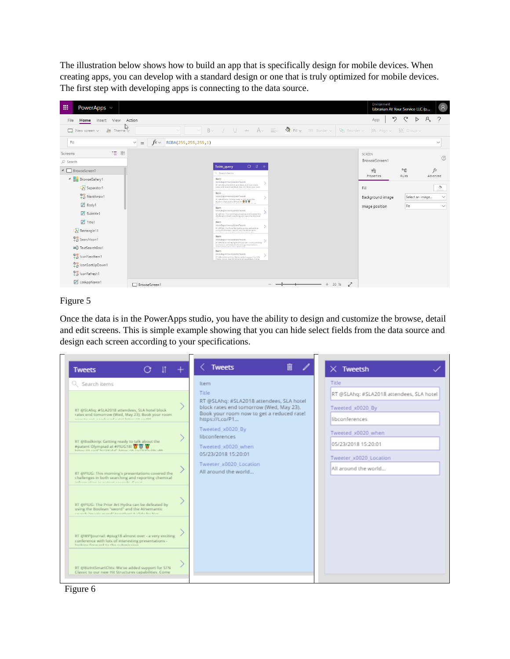The illustration below shows how to build an app that is specifically design for mobile devices. When creating apps, you can develop with a standard design or one that is truly optimized for mobile devices. The first step with developing apps is connecting to the data source.



#### Figure 5

Once the data is in the PowerApps studio, you have the ability to design and customize the browse, detail and edit screens. This is simple example showing that you can hide select fields from the data source and design each screen according to your specifications.

| <b>Tweets</b>                                                                                                                                        | <b>Tweets</b><br>圃                                                                                                                                                                                                                                                                                               | $\times$ Tweetsh                                         |
|------------------------------------------------------------------------------------------------------------------------------------------------------|------------------------------------------------------------------------------------------------------------------------------------------------------------------------------------------------------------------------------------------------------------------------------------------------------------------|----------------------------------------------------------|
| Q Search items                                                                                                                                       | Item<br>Title<br>RT @SLAhg: #SLA2018 attendees, SLA hotel<br>block rates end tomorrow (Wed, May 23).<br>Book your room now to get a reduced rate!<br>https://t.co/P1<br>Tweeted x0020 By<br><b>libconferences</b><br>Tweeted x0020 when<br>05/23/2018 15:20:01<br>Tweeter x0020 Location<br>All around the world | Title<br>RT @SLAhq: #SLA2018 attendees, SLA hotel        |
| RT @SLAhg: #SLA2018 attendees, SLA hotel block<br>rates end tomorrow (Wed, May 23). Book your room<br>most to out a coducted cared later at conte-   |                                                                                                                                                                                                                                                                                                                  | Tweeted x0020 By<br>libconferences<br>Tweeted x0020 when |
| RT @Bodkintp: Getting ready to talk about the<br>Ppatent Olympiad at PPIDG181 W W W                                                                  |                                                                                                                                                                                                                                                                                                                  | 05/23/2018 15:20:01<br>Tweeter x0020 Location            |
| RT @PIUG: This morning's presentations covered the<br>challenges in both searching and reporting chemical<br>information in nature console. Figure   |                                                                                                                                                                                                                                                                                                                  | All around the world                                     |
| RT @PIUG: The Prior Art Hydra can be defeated by<br>using the Boolean "sword" and the Al/semantic<br>concels "would unsoft to outboat A didn bu Mac. |                                                                                                                                                                                                                                                                                                                  |                                                          |
| RT @WPIjournal: #piug18 almost over - a very exciting<br>conference with lots of interesting presentations -<br>bushing forward to the cohmiccion    |                                                                                                                                                                                                                                                                                                                  |                                                          |
| RT @BizIntSmartChts: We've added support for STN<br>Classic to our new Hit Structures capabilities. Come                                             |                                                                                                                                                                                                                                                                                                                  |                                                          |

Figure 6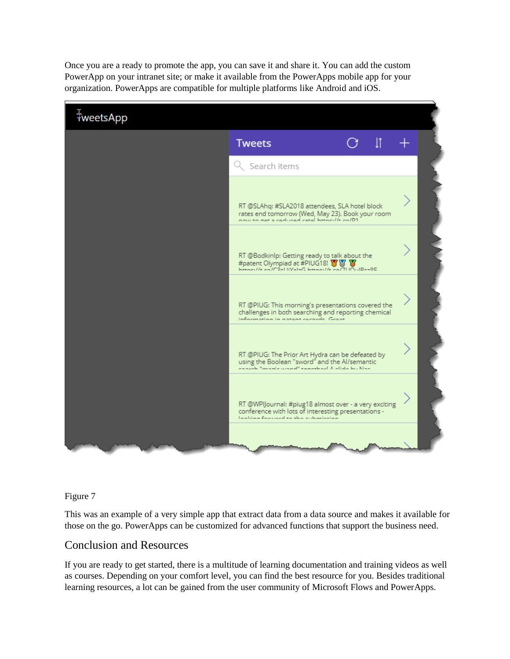Once you are a ready to promote the app, you can save it and share it. You can add the custom PowerApp on your intranet site; or make it available from the PowerApps mobile app for your organization. PowerApps are compatible for multiple platforms like Android and iOS.



Figure 7

This was an example of a very simple app that extract data from a data source and makes it available for those on the go. PowerApps can be customized for advanced functions that support the business need.

### Conclusion and Resources

If you are ready to get started, there is a multitude of learning documentation and training videos as well as courses. Depending on your comfort level, you can find the best resource for you. Besides traditional learning resources, a lot can be gained from the user community of Microsoft Flows and PowerApps.